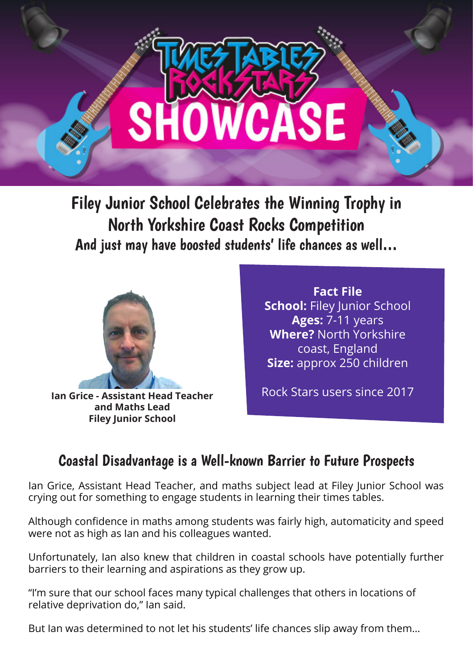

Filey Junior School Celebrates the Winning Trophy in North Yorkshire Coast Rocks Competition And just may have boosted students' life chances as well…



**Ian Grice - Assistant Head Teacher and Maths Lead Filey Junior School**

**Fact File School:** Filey Junior School **Ages:** 7-11 years **Where?** North Yorkshire coast, England **Size:** approx 250 children

Rock Stars users since 2017

## Coastal Disadvantage is a Well-known Barrier to Future Prospects

Ian Grice, Assistant Head Teacher, and maths subject lead at Filey Junior School was crying out for something to engage students in learning their times tables.

Although confidence in maths among students was fairly high, automaticity and speed were not as high as Ian and his colleagues wanted.

Unfortunately, Ian also knew that children in coastal schools have potentially further barriers to their learning and aspirations as they grow up.

"I'm sure that our school faces many typical challenges that others in locations of relative deprivation do," Ian said.

But Ian was determined to not let his students' life chances slip away from them…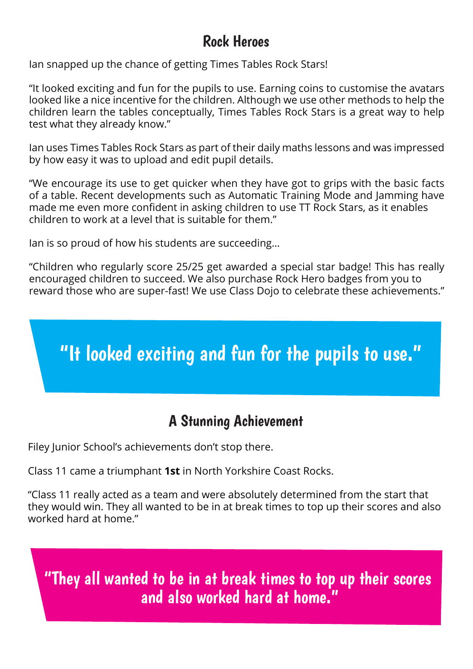## Rock Heroes

Ian snapped up the chance of getting Times Tables Rock Stars!

"It looked exciting and fun for the pupils to use. Earning coins to customise the avatars looked like a nice incentive for the children. Although we use other methods to help the children learn the tables conceptually, Times Tables Rock Stars is a great way to help test what they already know."

Ian uses Times Tables Rock Stars as part of their daily maths lessons and was impressed by how easy it was to upload and edit pupil details.

"We encourage its use to get quicker when they have got to grips with the basic facts of a table. Recent developments such as Automatic Training Mode and Jamming have made me even more confident in asking children to use TT Rock Stars, as it enables children to work at a level that is suitable for them."

Ian is so proud of how his students are succeeding…

"Children who regularly score 25/25 get awarded a special star badge! This has really encouraged children to succeed. We also purchase Rock Hero badges from you to reward those who are super-fast! We use Class Dojo to celebrate these achievements."

## "It looked exciting and fun for the pupils to use."

## A Stunning Achievement

Filey Junior School's achievements don't stop there.

Class 11 came a triumphant **1st** in North Yorkshire Coast Rocks.

"Class 11 really acted as a team and were absolutely determined from the start that they would win. They all wanted to be in at break times to top up their scores and also worked hard at home."

"They all wanted to be in at break times to top up their scores and also worked hard at home."